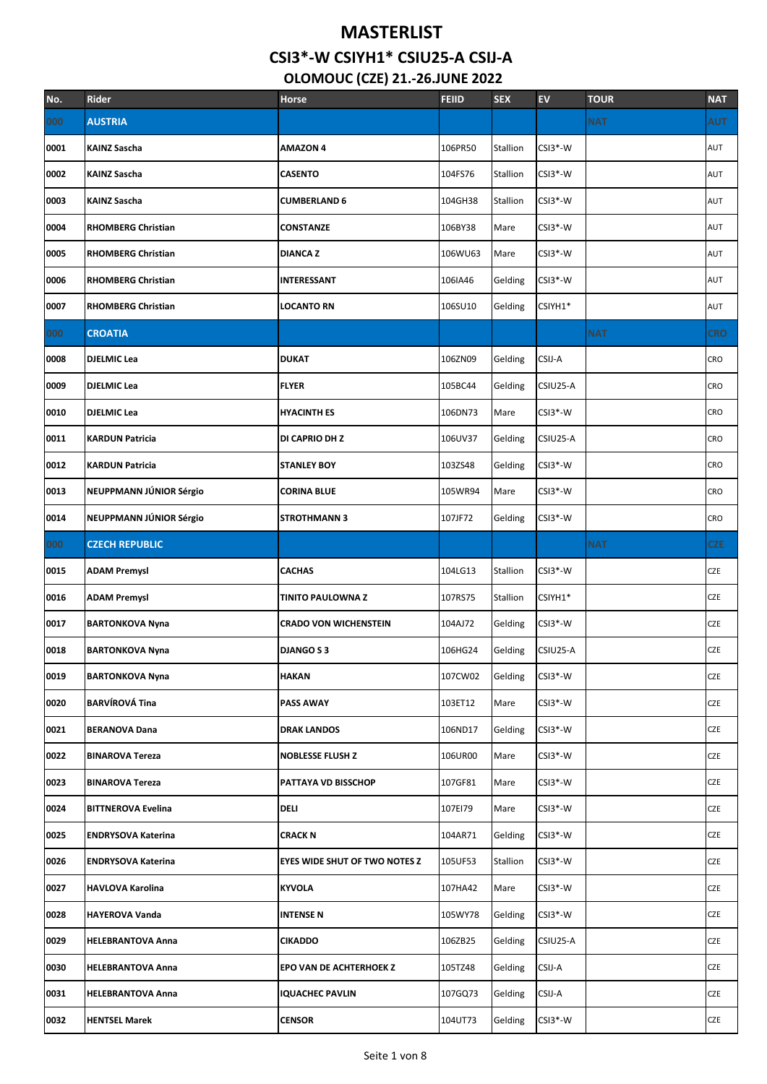# **MASTERLIST CSI3\*-W CSIYH1\* CSIU25-A CSIJ-A**

# **OLOMOUC (CZE) 21.-26.JUNE 2022**

| No.  | <b>Rider</b>              | <b>Horse</b>                         | <b>FEIID</b> | <b>SEX</b> | EV        | <b>TOUR</b> | <b>NAT</b> |
|------|---------------------------|--------------------------------------|--------------|------------|-----------|-------------|------------|
| 000  | <b>AUSTRIA</b>            |                                      |              |            |           | <b>NAT</b>  | <b>AUT</b> |
| 0001 | <b>KAINZ Sascha</b>       | <b>AMAZON 4</b>                      | 106PR50      | Stallion   | CSI3*-W   |             | AUT        |
| 0002 | <b>KAINZ Sascha</b>       | <b>CASENTO</b>                       | 104FS76      | Stallion   | CSI3*-W   |             | AUT        |
| 0003 | <b>KAINZ Sascha</b>       | <b>CUMBERLAND 6</b>                  | 104GH38      | Stallion   | CSI3*-W   |             | AUT        |
| 0004 | <b>RHOMBERG Christian</b> | CONSTANZE                            | 106BY38      | Mare       | $CSI3*-W$ |             | AUT        |
| 0005 | <b>RHOMBERG Christian</b> | <b>DIANCAZ</b>                       | 106WU63      | Mare       | CSI3*-W   |             | AUT        |
| 0006 | <b>RHOMBERG Christian</b> | INTERESSANT                          | 106IA46      | Gelding    | CSI3*-W   |             | AUT        |
| 0007 | <b>RHOMBERG Christian</b> | <b>LOCANTO RN</b>                    | 106SU10      | Gelding    | CSIYH1*   |             | AUT        |
| 000  | <b>CROATIA</b>            |                                      |              |            |           | <b>NAT</b>  | <b>CRO</b> |
| 0008 | <b>DJELMIC Lea</b>        | <b>DUKAT</b>                         | 106ZN09      | Gelding    | CSIJ-A    |             | CRO        |
| 0009 | <b>DJELMIC Lea</b>        | <b>FLYER</b>                         | 105BC44      | Gelding    | CSIU25-A  |             | CRO        |
| 0010 | <b>DJELMIC Lea</b>        | <b>HYACINTH ES</b>                   | 106DN73      | Mare       | $CSI3*-W$ |             | CRO        |
| 0011 | <b>KARDUN Patricia</b>    | DI CAPRIO DH Z                       | 106UV37      | Gelding    | CSIU25-A  |             | CRO        |
| 0012 | <b>KARDUN Patricia</b>    | <b>STANLEY BOY</b>                   | 103ZS48      | Gelding    | CSI3*-W   |             | CRO        |
| 0013 | NEUPPMANN JÚNIOR Sérgio   | <b>CORINA BLUE</b>                   | 105WR94      | Mare       | CSI3*-W   |             | CRO        |
| 0014 | NEUPPMANN JÚNIOR Sérgio   | <b>STROTHMANN 3</b>                  | 107JF72      | Gelding    | CSI3*-W   |             | CRO        |
| 000  | <b>CZECH REPUBLIC</b>     |                                      |              |            |           | <b>NAT</b>  | <b>CZE</b> |
| 0015 | <b>ADAM Premysl</b>       | <b>CACHAS</b>                        | 104LG13      | Stallion   | CSI3*-W   |             | CZE        |
| 0016 | <b>ADAM Premysl</b>       | <b>TINITO PAULOWNA Z</b>             | 107RS75      | Stallion   | CSIYH1*   |             | CZE        |
| 0017 | <b>BARTONKOVA Nyna</b>    | <b>CRADO VON WICHENSTEIN</b>         | 104AJ72      | Gelding    | CSI3*-W   |             | CZE        |
| 0018 | <b>BARTONKOVA Nyna</b>    | <b>DJANGO S 3</b>                    | 106HG24      | Gelding    | CSIU25-A  |             | CZE        |
| 0019 | <b>BARTONKOVA Nyna</b>    | <b>HAKAN</b>                         | 107CW02      | Gelding    | CSI3*-W   |             | CZE        |
| 0020 | <b>BARVÍROVÁ Tina</b>     | <b>PASS AWAY</b>                     | 103ET12      | Mare       | CSI3*-W   |             | CZE        |
| 0021 | <b>BERANOVA Dana</b>      | <b>DRAK LANDOS</b>                   | 106ND17      | Gelding    | CSI3*-W   |             | CZE        |
| 0022 | <b>BINAROVA Tereza</b>    | <b>NOBLESSE FLUSH Z</b>              | 106UR00      | Mare       | CSI3*-W   |             | CZE        |
| 0023 | <b>BINAROVA Tereza</b>    | PATTAYA VD BISSCHOP                  | 107GF81      | Mare       | CSI3*-W   |             | CZE        |
| 0024 | <b>BITTNEROVA Evelina</b> | <b>DELI</b>                          | 107EI79      | Mare       | CSI3*-W   |             | CZE        |
| 0025 | <b>ENDRYSOVA Katerina</b> | CRACK N                              | 104AR71      | Gelding    | $CSI3*-W$ |             | CZE        |
| 0026 | <b>ENDRYSOVA Katerina</b> | <b>EYES WIDE SHUT OF TWO NOTES Z</b> | 105UF53      | Stallion   | CSI3*-W   |             | CZE        |
| 0027 | <b>HAVLOVA Karolina</b>   | <b>KYVOLA</b>                        | 107HA42      | Mare       | CSI3*-W   |             | CZE        |
| 0028 | <b>HAYEROVA Vanda</b>     | <b>INTENSE N</b>                     | 105WY78      | Gelding    | CSI3*-W   |             | CZE        |
| 0029 | <b>HELEBRANTOVA Anna</b>  | <b>CIKADDO</b>                       | 106ZB25      | Gelding    | CSIU25-A  |             | CZE        |
| 0030 | <b>HELEBRANTOVA Anna</b>  | EPO VAN DE ACHTERHOEK Z              | 105TZ48      | Gelding    | CSIJ-A    |             | CZE        |
| 0031 | <b>HELEBRANTOVA Anna</b>  | <b>IQUACHEC PAVLIN</b>               | 107GQ73      | Gelding    | CSIJ-A    |             | CZE        |
| 0032 | <b>HENTSEL Marek</b>      | <b>CENSOR</b>                        | 104UT73      | Gelding    | CSI3*-W   |             | CZE        |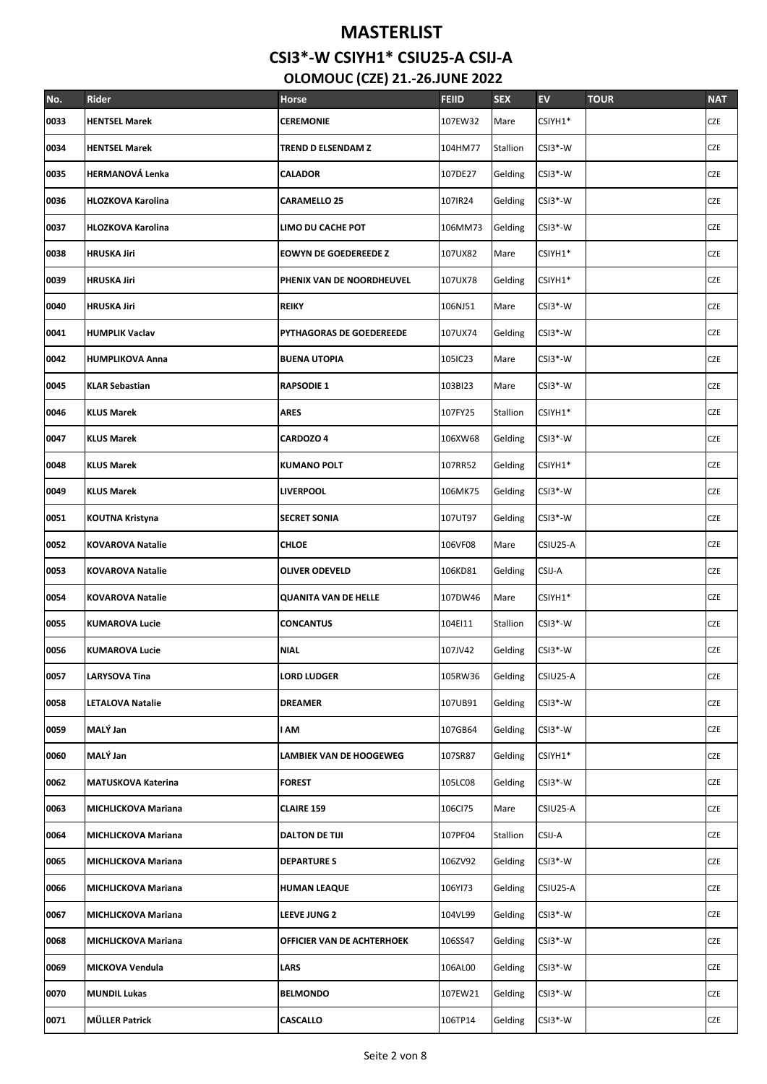| No.  | Rider                      | Horse                          | <b>FEIID</b> | <b>SEX</b> | <b>EV</b> | <b>TOUR</b> | <b>NAT</b> |
|------|----------------------------|--------------------------------|--------------|------------|-----------|-------------|------------|
| 0033 | <b>HENTSEL Marek</b>       | <b>CEREMONIE</b>               | 107EW32      | Mare       | CSIYH1*   |             | CZE        |
| 0034 | <b>HENTSEL Marek</b>       | TREND D ELSENDAM Z             | 104HM77      | Stallion   | CSI3*-W   |             | <b>CZE</b> |
| 0035 | <b>HERMANOVÁ Lenka</b>     | <b>CALADOR</b>                 | 107DE27      | Gelding    | $CSI3*-W$ |             | <b>CZE</b> |
| 0036 | <b>HLOZKOVA Karolina</b>   | <b>CARAMELLO 25</b>            | 107IR24      | Gelding    | $CSI3*-W$ |             | CZE        |
| 0037 | <b>HLOZKOVA Karolina</b>   | LIMO DU CACHE POT              | 106MM73      | Gelding    | $CSI3*-W$ |             | CZE        |
| 0038 | <b>HRUSKA Jiri</b>         | <b>EOWYN DE GOEDEREEDE Z</b>   | 107UX82      | Mare       | CSIYH1*   |             | <b>CZE</b> |
| 0039 | <b>HRUSKA Jiri</b>         | PHENIX VAN DE NOORDHEUVEL      | 107UX78      | Gelding    | CSIYH1*   |             | <b>CZE</b> |
| 0040 | <b>HRUSKA Jiri</b>         | <b>REIKY</b>                   | 106NJ51      | Mare       | CSI3*-W   |             | <b>CZE</b> |
| 0041 | <b>HUMPLIK Vaclav</b>      | PYTHAGORAS DE GOEDEREEDE       | 107UX74      | Gelding    | CSI3*-W   |             | CZE        |
| 0042 | <b>HUMPLIKOVA Anna</b>     | <b>BUENA UTOPIA</b>            | 105IC23      | Mare       | $CSI3*-W$ |             | <b>CZE</b> |
| 0045 | <b>KLAR Sebastian</b>      | <b>RAPSODIE 1</b>              | 103BI23      | Mare       | CSI3*-W   |             | CZE        |
| 0046 | <b>KLUS Marek</b>          | <b>ARES</b>                    | 107FY25      | Stallion   | CSIYH1*   |             | CZE        |
| 0047 | <b>KLUS Marek</b>          | CARDOZO 4                      | 106XW68      | Gelding    | $CSI3*-W$ |             | <b>CZE</b> |
| 0048 | <b>KLUS Marek</b>          | <b>KUMANO POLT</b>             | 107RR52      | Gelding    | CSIYH1*   |             | <b>CZE</b> |
| 0049 | <b>KLUS Marek</b>          | <b>LIVERPOOL</b>               | 106MK75      | Gelding    | $CSI3*-W$ |             | <b>CZE</b> |
| 0051 | KOUTNA Kristyna            | <b>SECRET SONIA</b>            | 107UT97      | Gelding    | $CSI3*-W$ |             | <b>CZE</b> |
| 0052 | <b>KOVAROVA Natalie</b>    | <b>CHLOE</b>                   | 106VF08      | Mare       | CSIU25-A  |             | <b>CZE</b> |
| 0053 | <b>KOVAROVA Natalie</b>    | <b>OLIVER ODEVELD</b>          | 106KD81      | Gelding    | CSIJ-A    |             | <b>CZE</b> |
| 0054 | <b>KOVAROVA Natalie</b>    | <b>QUANITA VAN DE HELLE</b>    | 107DW46      | Mare       | CSIYH1*   |             | <b>CZE</b> |
| 0055 | <b>KUMAROVA Lucie</b>      | <b>CONCANTUS</b>               | 104EI11      | Stallion   | CSI3*-W   |             | <b>CZE</b> |
| 0056 | <b>KUMAROVA Lucie</b>      | <b>NIAL</b>                    | 107JV42      | Gelding    | CSI3*-W   |             | <b>CZE</b> |
| 0057 | <b>LARYSOVA Tina</b>       | <b>LORD LUDGER</b>             | 105RW36      | Gelding    | CSIU25-A  |             | CZE        |
| 0058 | <b>LETALOVA Natalie</b>    | <b>DREAMER</b>                 | 107UB91      | Gelding    | CSI3*-W   |             | CZE        |
| 0059 | MALÝ Jan                   | I AM                           | 107GB64      | Gelding    | CSI3*-W   |             | CZE        |
| 0060 | MALÝ Jan                   | <b>LAMBIEK VAN DE HOOGEWEG</b> | 107SR87      | Gelding    | CSIYH1*   |             | CZE        |
| 0062 | <b>MATUSKOVA Katerina</b>  | <b>FOREST</b>                  | 105LC08      | Gelding    | CSI3*-W   |             | CZE        |
| 0063 | <b>MICHLICKOVA Mariana</b> | <b>CLAIRE 159</b>              | 106Cl75      | Mare       | CSIU25-A  |             | CZE        |
| 0064 | <b>MICHLICKOVA Mariana</b> | <b>DALTON DE TIJI</b>          | 107PF04      | Stallion   | CSIJ-A    |             | CZE        |
| 0065 | <b>MICHLICKOVA Mariana</b> | <b>DEPARTURES</b>              | 106ZV92      | Gelding    | CSI3*-W   |             | CZE        |
| 0066 | <b>MICHLICKOVA Mariana</b> | <b>HUMAN LEAQUE</b>            | 106YI73      | Gelding    | CSIU25-A  |             | CZE        |
| 0067 | <b>MICHLICKOVA Mariana</b> | LEEVE JUNG 2                   | 104VL99      | Gelding    | CSI3*-W   |             | CZE        |
| 0068 | <b>MICHLICKOVA Mariana</b> | OFFICIER VAN DE ACHTERHOEK     | 106SS47      | Gelding    | CSI3*-W   |             | CZE        |
| 0069 | MICKOVA Vendula            | LARS                           | 106AL00      | Gelding    | CSI3*-W   |             | CZE        |
| 0070 | <b>MUNDIL Lukas</b>        | <b>BELMONDO</b>                | 107EW21      | Gelding    | CSI3*-W   |             | CZE        |
| 0071 | <b>MÜLLER Patrick</b>      | CASCALLO                       | 106TP14      | Gelding    | CSI3*-W   |             | CZE        |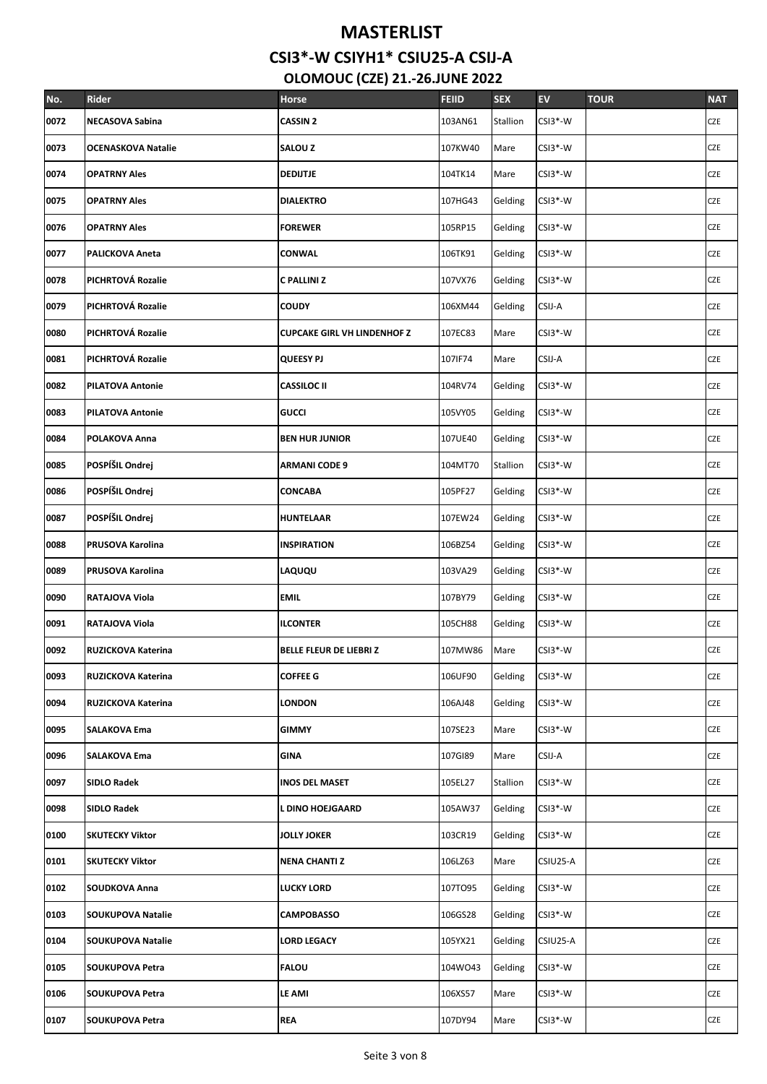# **MASTERLIST**

**CSI3\*-W CSIYH1\* CSIU25-A CSIJ-A**

 **OLOMOUC (CZE) 21.-26.JUNE 2022**

| No.  | Rider                     | Horse                              | <b>FEIID</b> | <b>SEX</b> | <b>EV</b> | <b>TOUR</b> | <b>NAT</b> |
|------|---------------------------|------------------------------------|--------------|------------|-----------|-------------|------------|
| 0072 | <b>NECASOVA Sabina</b>    | <b>CASSIN 2</b>                    | 103AN61      | Stallion   | $CSI3*-W$ |             | CZE        |
| 0073 | <b>OCENASKOVA Natalie</b> | <b>SALOU Z</b>                     | 107KW40      | Mare       | CSI3*-W   |             | <b>CZE</b> |
| 0074 | <b>OPATRNY Ales</b>       | <b>DEDIJTJE</b>                    | 104TK14      | Mare       | CSI3*-W   |             | <b>CZE</b> |
| 0075 | <b>OPATRNY Ales</b>       | <b>DIALEKTRO</b>                   | 107HG43      | Gelding    | CSI3*-W   |             | CZE        |
| 0076 | <b>OPATRNY Ales</b>       | <b>FOREWER</b>                     | 105RP15      | Gelding    | $CSI3*-W$ |             | <b>CZE</b> |
| 0077 | <b>PALICKOVA Aneta</b>    | CONWAL                             | 106TK91      | Gelding    | CSI3*-W   |             | <b>CZE</b> |
| 0078 | PICHRTOVÁ Rozalie         | C PALLINI Z                        | 107VX76      | Gelding    | $CSI3*-W$ |             | CZE        |
| 0079 | PICHRTOVÁ Rozalie         | <b>COUDY</b>                       | 106XM44      | Gelding    | CSIJ-A    |             | CZE        |
| 0080 | PICHRTOVÁ Rozalie         | <b>CUPCAKE GIRL VH LINDENHOF Z</b> | 107EC83      | Mare       | CSI3*-W   |             | <b>CZE</b> |
| 0081 | PICHRTOVÁ Rozalie         | <b>QUEESY PJ</b>                   | 107IF74      | Mare       | CSIJ-A    |             | <b>CZE</b> |
| 0082 | <b>PILATOVA Antonie</b>   | <b>CASSILOC II</b>                 | 104RV74      | Gelding    | CSI3*-W   |             | <b>CZE</b> |
| 0083 | <b>PILATOVA Antonie</b>   | <b>GUCCI</b>                       | 105VY05      | Gelding    | CSI3*-W   |             | <b>CZE</b> |
| 0084 | POLAKOVA Anna             | <b>BEN HUR JUNIOR</b>              | 107UE40      | Gelding    | CSI3*-W   |             | CZE        |
| 0085 | POSPÍŠIL Ondrej           | <b>ARMANI CODE 9</b>               | 104MT70      | Stallion   | $CSI3*-W$ |             | <b>CZE</b> |
| 0086 | POSPÍŠIL Ondrej           | CONCABA                            | 105PF27      | Gelding    | $CSI3*-W$ |             | <b>CZE</b> |
| 0087 | POSPÍŠIL Ondrej           | <b>HUNTELAAR</b>                   | 107EW24      | Gelding    | CSI3*-W   |             | CZE        |
| 0088 | <b>PRUSOVA Karolina</b>   | <b>INSPIRATION</b>                 | 106BZ54      | Gelding    | $CSI3*-W$ |             | <b>CZE</b> |
| 0089 | PRUSOVA Karolina          | LAQUQU                             | 103VA29      | Gelding    | $CSI3*-W$ |             | <b>CZE</b> |
| 0090 | RATAJOVA Viola            | <b>EMIL</b>                        | 107BY79      | Gelding    | CSI3*-W   |             | CZE        |
| 0091 | RATAJOVA Viola            | <b>ILCONTER</b>                    | 105CH88      | Gelding    | $CSI3*-W$ |             | CZE        |
| 0092 | RUZICKOVA Katerina        | <b>BELLE FLEUR DE LIEBRIZ</b>      | 107MW86      | Mare       | CSI3*-W   |             | <b>CZE</b> |
| 0093 | RUZICKOVA Katerina        | <b>COFFEE G</b>                    | 106UF90      | Gelding    | CSI3*-W   |             | <b>CZE</b> |
| 0094 | RUZICKOVA Katerina        | <b>LONDON</b>                      | 106AJ48      | Gelding    | CSI3*-W   |             | CZE        |
| 0095 | <b>SALAKOVA Ema</b>       | <b>GIMMY</b>                       | 107SE23      | Mare       | CSI3*-W   |             | CZE        |
| 0096 | SALAKOVA Ema              | GINA                               | 107GI89      | Mare       | CSIJ-A    |             | CZE        |
| 0097 | <b>SIDLO Radek</b>        | <b>INOS DEL MASET</b>              | 105EL27      | Stallion   | CSI3*-W   |             | CZE        |
| 0098 | <b>SIDLO Radek</b>        | L DINO HOEJGAARD                   | 105AW37      | Gelding    | CSI3*-W   |             | CZE        |
| 0100 | <b>SKUTECKY Viktor</b>    | <b>JOLLY JOKER</b>                 | 103CR19      | Gelding    | CSI3*-W   |             | CZE        |
| 0101 | <b>SKUTECKY Viktor</b>    | <b>NENA CHANTI Z</b>               | 106LZ63      | Mare       | CSIU25-A  |             | CZE        |
| 0102 | <b>SOUDKOVA Anna</b>      | <b>LUCKY LORD</b>                  | 107TO95      | Gelding    | CSI3*-W   |             | CZE        |
| 0103 | <b>SOUKUPOVA Natalie</b>  | <b>CAMPOBASSO</b>                  | 106GS28      | Gelding    | CSI3*-W   |             | CZE        |
| 0104 | <b>SOUKUPOVA Natalie</b>  | <b>LORD LEGACY</b>                 | 105YX21      | Gelding    | CSIU25-A  |             | CZE        |
| 0105 | SOUKUPOVA Petra           | <b>FALOU</b>                       | 104WO43      | Gelding    | CSI3*-W   |             | CZE        |
| 0106 | SOUKUPOVA Petra           | LE AMI                             | 106XS57      | Mare       | CSI3*-W   |             | CZE        |
| 0107 | SOUKUPOVA Petra           | <b>REA</b>                         | 107DY94      | Mare       | CSI3*-W   |             | CZE        |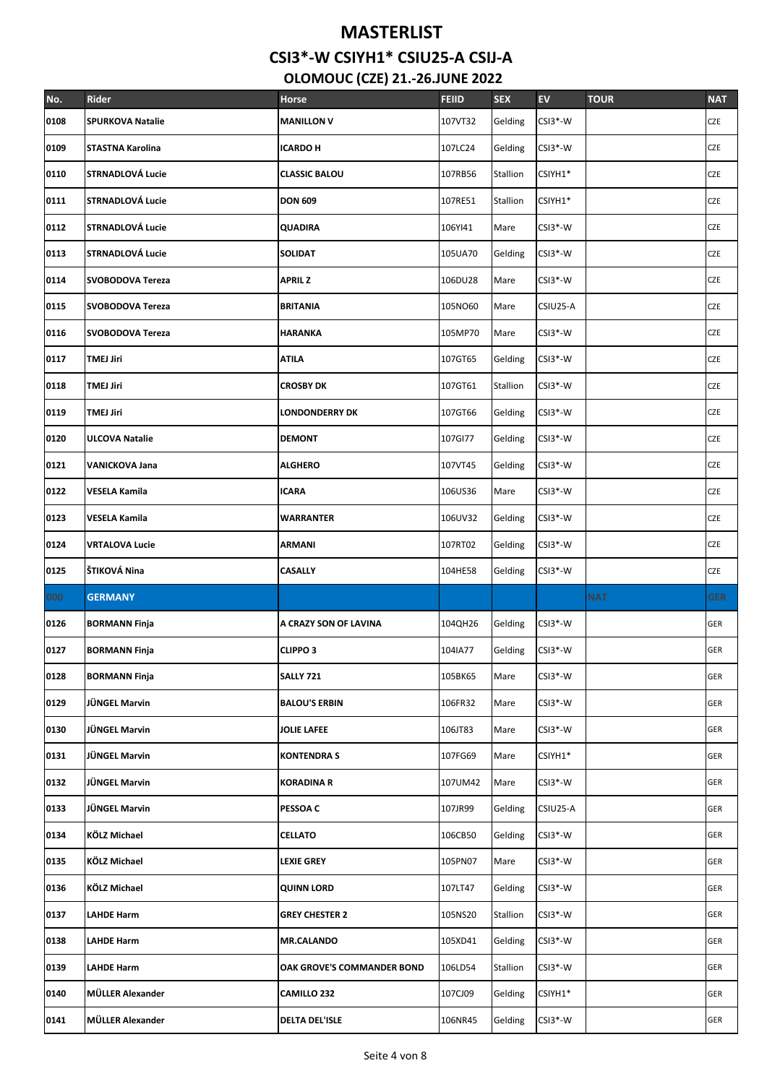| No.  | Rider                   | <b>Horse</b>               | <b>FEIID</b> | <b>SEX</b> | <b>EV</b> | <b>TOUR</b> | <b>NAT</b> |
|------|-------------------------|----------------------------|--------------|------------|-----------|-------------|------------|
| 0108 | <b>SPURKOVA Natalie</b> | <b>MANILLON V</b>          | 107VT32      | Gelding    | CSI3*-W   |             | CZE        |
| 0109 | STASTNA Karolina        | <b>ICARDO H</b>            | 107LC24      | Gelding    | $CSI3*-W$ |             | CZE        |
| 0110 | <b>STRNADLOVÁ Lucie</b> | <b>CLASSIC BALOU</b>       | 107RB56      | Stallion   | CSIYH1*   |             | CZE        |
| 0111 | <b>STRNADLOVÁ Lucie</b> | <b>DON 609</b>             | 107RE51      | Stallion   | CSIYH1*   |             | CZE        |
| 0112 | <b>STRNADLOVÁ Lucie</b> | QUADIRA                    | 106YI41      | Mare       | $CSI3*-W$ |             | CZE        |
| 0113 | <b>STRNADLOVÁ Lucie</b> | <b>SOLIDAT</b>             | 105UA70      | Gelding    | CSI3*-W   |             | CZE        |
| 0114 | SVOBODOVA Tereza        | APRIL Z                    | 106DU28      | Mare       | CSI3*-W   |             | CZE        |
| 0115 | <b>SVOBODOVA Tereza</b> | <b>BRITANIA</b>            | 105NO60      | Mare       | CSIU25-A  |             | CZE        |
| 0116 | SVOBODOVA Tereza        | <b>HARANKA</b>             | 105MP70      | Mare       | CSI3*-W   |             | CZE        |
| 0117 | <b>TMEJ Jiri</b>        | ATILA                      | 107GT65      | Gelding    | CSI3*-W   |             | CZE        |
| 0118 | <b>TMEJ Jiri</b>        | <b>CROSBY DK</b>           | 107GT61      | Stallion   | CSI3*-W   |             | CZE        |
| 0119 | <b>TMEJ Jiri</b>        | <b>LONDONDERRY DK</b>      | 107GT66      | Gelding    | CSI3*-W   |             | CZE        |
| 0120 | <b>ULCOVA Natalie</b>   | <b>DEMONT</b>              | 107GI77      | Gelding    | CSI3*-W   |             | CZE        |
| 0121 | <b>VANICKOVA Jana</b>   | <b>ALGHERO</b>             | 107VT45      | Gelding    | $CSI3*-W$ |             | CZE        |
| 0122 | VESELA Kamila           | <b>ICARA</b>               | 106US36      | Mare       | CSI3*-W   |             | CZE        |
| 0123 | VESELA Kamila           | <b>WARRANTER</b>           | 106UV32      | Gelding    | CSI3*-W   |             | CZE        |
| 0124 | <b>VRTALOVA Lucie</b>   | ARMANI                     | 107RT02      | Gelding    | CSI3*-W   |             | CZE        |
| 0125 | ŠTIKOVÁ Nina            | <b>CASALLY</b>             | 104HE58      | Gelding    | CSI3*-W   |             | CZE        |
| 000  | <b>GERMANY</b>          |                            |              |            |           | <b>NAT</b>  | GER I      |
| 0126 | <b>BORMANN Finja</b>    | A CRAZY SON OF LAVINA      | 104QH26      | Gelding    | CSI3*-W   |             | <b>GER</b> |
| 0127 | <b>BORMANN Finja</b>    | <b>CLIPPO 3</b>            | 104IA77      | Gelding    | $CSI3*-W$ |             | <b>GER</b> |
| 0128 | <b>BORMANN Finja</b>    | SALLY 721                  | 105BK65      | Mare       | CSI3*-W   |             | <b>GER</b> |
| 0129 | JÜNGEL Marvin           | <b>BALOU'S ERBIN</b>       | 106FR32      | Mare       | CSI3*-W   |             | <b>GER</b> |
| 0130 | JÜNGEL Marvin           | JOLIE LAFEE                | 106JT83      | Mare       | CSI3*-W   |             | <b>GER</b> |
| 0131 | <b>JÜNGEL Marvin</b>    | <b>KONTENDRA S</b>         | 107FG69      | Mare       | CSIYH1*   |             | GER        |
| 0132 | JÜNGEL Marvin           | KORADINA R                 | 107UM42      | Mare       | CSI3*-W   |             | GER        |
| 0133 | JÜNGEL Marvin           | <b>PESSOA C</b>            | 107JR99      | Gelding    | CSIU25-A  |             | <b>GER</b> |
| 0134 | <b>KÖLZ Michael</b>     | <b>CELLATO</b>             | 106CB50      | Gelding    | CSI3*-W   |             | <b>GER</b> |
| 0135 | <b>KÖLZ Michael</b>     | LEXIE GREY                 | 105PN07      | Mare       | CSI3*-W   |             | <b>GER</b> |
| 0136 | <b>KÖLZ Michael</b>     | <b>QUINN LORD</b>          | 107LT47      | Gelding    | CSI3*-W   |             | GER        |
| 0137 | <b>LAHDE Harm</b>       | <b>GREY CHESTER 2</b>      | 105NS20      | Stallion   | CSI3*-W   |             | GER        |
| 0138 | <b>LAHDE Harm</b>       | <b>MR.CALANDO</b>          | 105XD41      | Gelding    | CSI3*-W   |             | <b>GER</b> |
| 0139 | <b>LAHDE Harm</b>       | OAK GROVE'S COMMANDER BOND | 106LD54      | Stallion   | CSI3*-W   |             | GER        |
| 0140 | MÜLLER Alexander        | <b>CAMILLO 232</b>         | 107CJ09      | Gelding    | CSIYH1*   |             | <b>GER</b> |
| 0141 | MÜLLER Alexander        | <b>DELTA DEL'ISLE</b>      | 106NR45      | Gelding    | CSI3*-W   |             | GER        |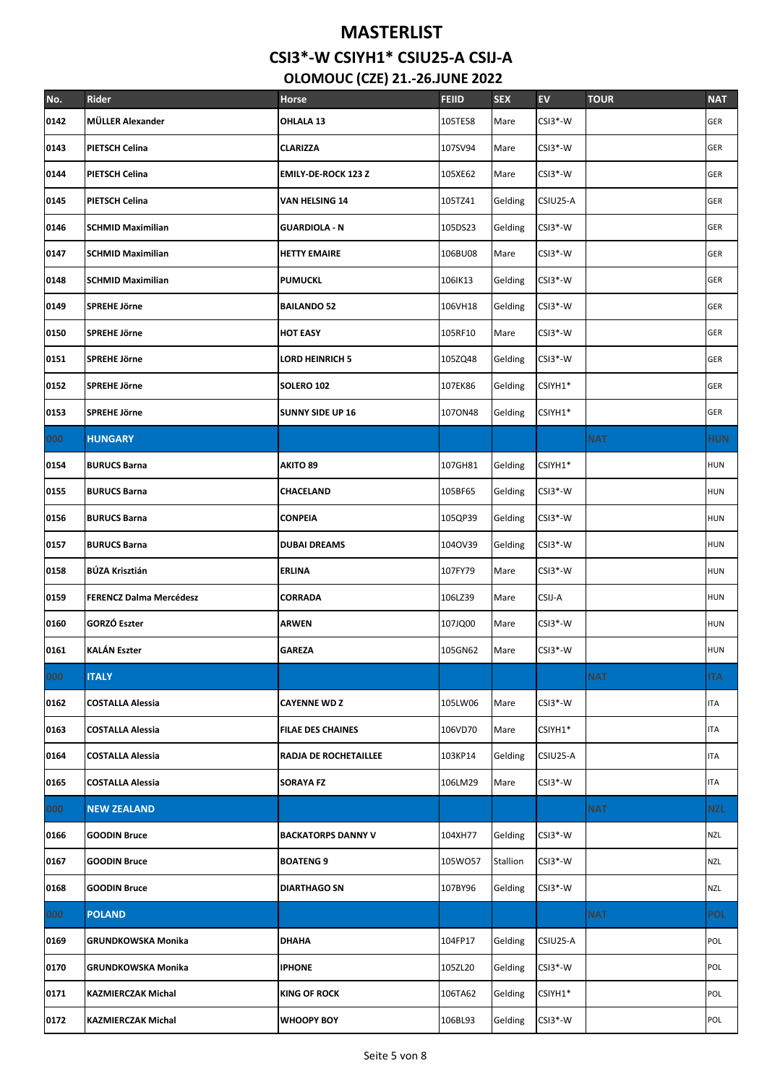| No.  | Rider                          | Horse                      | <b>FEIID</b> | <b>SEX</b> | <b>EV</b> | <b>TOUR</b> | <b>NAT</b> |
|------|--------------------------------|----------------------------|--------------|------------|-----------|-------------|------------|
| 0142 | MÜLLER Alexander               | OHLALA 13                  | 105TE58      | Mare       | $CSI3*-W$ |             | <b>GER</b> |
| 0143 | <b>PIETSCH Celina</b>          | <b>CLARIZZA</b>            | 107SV94      | Mare       | CSI3*-W   |             | <b>GER</b> |
| 0144 | PIETSCH Celina                 | <b>EMILY-DE-ROCK 123 Z</b> | 105XE62      | Mare       | CSI3*-W   |             | <b>GER</b> |
| 0145 | <b>PIETSCH Celina</b>          | VAN HELSING 14             | 105TZ41      | Gelding    | CSIU25-A  |             | GER        |
| 0146 | <b>SCHMID Maximilian</b>       | <b>GUARDIOLA - N</b>       | 105DS23      | Gelding    | CSI3*-W   |             | GER        |
| 0147 | <b>SCHMID Maximilian</b>       | <b>HETTY EMAIRE</b>        | 106BU08      | Mare       | $CSI3*-W$ |             | <b>GER</b> |
| 0148 | <b>SCHMID Maximilian</b>       | <b>PUMUCKL</b>             | 106IK13      | Gelding    | $CSI3*-W$ |             | GER        |
| 0149 | SPREHE Jörne                   | <b>BAILANDO 52</b>         | 106VH18      | Gelding    | $CSI3*-W$ |             | GER        |
| 0150 | <b>SPREHE Jörne</b>            | <b>HOT EASY</b>            | 105RF10      | Mare       | $CSI3*-W$ |             | <b>GER</b> |
| 0151 | SPREHE Jörne                   | LORD HEINRICH 5            | 105ZQ48      | Gelding    | $CSI3*-W$ |             | GER        |
| 0152 | <b>SPREHE Jörne</b>            | SOLERO 102                 | 107EK86      | Gelding    | CSIYH1*   |             | <b>GER</b> |
| 0153 | SPREHE Jörne                   | <b>SUNNY SIDE UP 16</b>    | 1070N48      | Gelding    | CSIYH1*   |             | GER        |
| 000  | <b>HUNGARY</b>                 |                            |              |            |           | <b>NAT</b>  | <b>HUN</b> |
| 0154 | <b>BURUCS Barna</b>            | <b>AKITO 89</b>            | 107GH81      | Gelding    | CSIYH1*   |             | HUN        |
| 0155 | <b>BURUCS Barna</b>            | CHACELAND                  | 105BF65      | Gelding    | CSI3*-W   |             | <b>HUN</b> |
| 0156 | <b>BURUCS Barna</b>            | <b>CONPEIA</b>             | 105QP39      | Gelding    | $CSI3*-W$ |             | <b>HUN</b> |
| 0157 | <b>BURUCS Barna</b>            | <b>DUBAI DREAMS</b>        | 1040V39      | Gelding    | CSI3*-W   |             | <b>HUN</b> |
| 0158 | <b>BÚZA Krisztián</b>          | <b>ERLINA</b>              | 107FY79      | Mare       | CSI3*-W   |             | <b>HUN</b> |
| 0159 | <b>FERENCZ Dalma Mercédesz</b> | CORRADA                    | 106LZ39      | Mare       | CSIJ-A    |             | HUN        |
| 0160 | <b>GORZÓ Eszter</b>            | <b>ARWEN</b>               | 107JQ00      | Mare       | CSI3*-W   |             | HUN        |
| 0161 | <b>KALÁN Eszter</b>            | <b>GAREZA</b>              | 105GN62      | Mare       | $CSI3*-W$ |             | <b>HUN</b> |
| 000  | <b>ITALY</b>                   |                            |              |            |           | <b>NAT</b>  | <b>ITA</b> |
| 0162 | <b>COSTALLA Alessia</b>        | <b>CAYENNE WD Z</b>        | 105LW06      | Mare       | CSI3*-W   |             | <b>ITA</b> |
| 0163 | <b>COSTALLA Alessia</b>        | <b>FILAE DES CHAINES</b>   | 106VD70      | Mare       | CSIYH1*   |             | ITA        |
| 0164 | <b>COSTALLA Alessia</b>        | RADJA DE ROCHETAILLEE      | 103KP14      | Gelding    | CSIU25-A  |             | <b>ITA</b> |
| 0165 | <b>COSTALLA Alessia</b>        | <b>SORAYA FZ</b>           | 106LM29      | Mare       | CSI3*-W   |             | ITA        |
| 000  | <b>NEW ZEALAND</b>             |                            |              |            |           | <b>NAT</b>  | <b>NZL</b> |
| 0166 | <b>GOODIN Bruce</b>            | <b>BACKATORPS DANNY V</b>  | 104XH77      | Gelding    | $CSI3*-W$ |             | NZL        |
| 0167 | <b>GOODIN Bruce</b>            | <b>BOATENG 9</b>           | 105W057      | Stallion   | CSI3*-W   |             | NZL        |
| 0168 | <b>GOODIN Bruce</b>            | <b>DIARTHAGO SN</b>        | 107BY96      | Gelding    | CSI3*-W   |             | <b>NZL</b> |
| 000  | <b>POLAND</b>                  |                            |              |            |           | <b>NAT</b>  | POL        |
| 0169 | <b>GRUNDKOWSKA Monika</b>      | <b>DHAHA</b>               | 104FP17      | Gelding    | CSIU25-A  |             | POL        |
| 0170 | <b>GRUNDKOWSKA Monika</b>      | <b>IPHONE</b>              | 105ZL20      | Gelding    | $CSI3*-W$ |             | POL        |
| 0171 | <b>KAZMIERCZAK Michal</b>      | <b>KING OF ROCK</b>        | 106TA62      | Gelding    | CSIYH1*   |             | POL        |
| 0172 | <b>KAZMIERCZAK Michal</b>      | <b>WHOOPY BOY</b>          | 106BL93      | Gelding    | CSI3*-W   |             | POL        |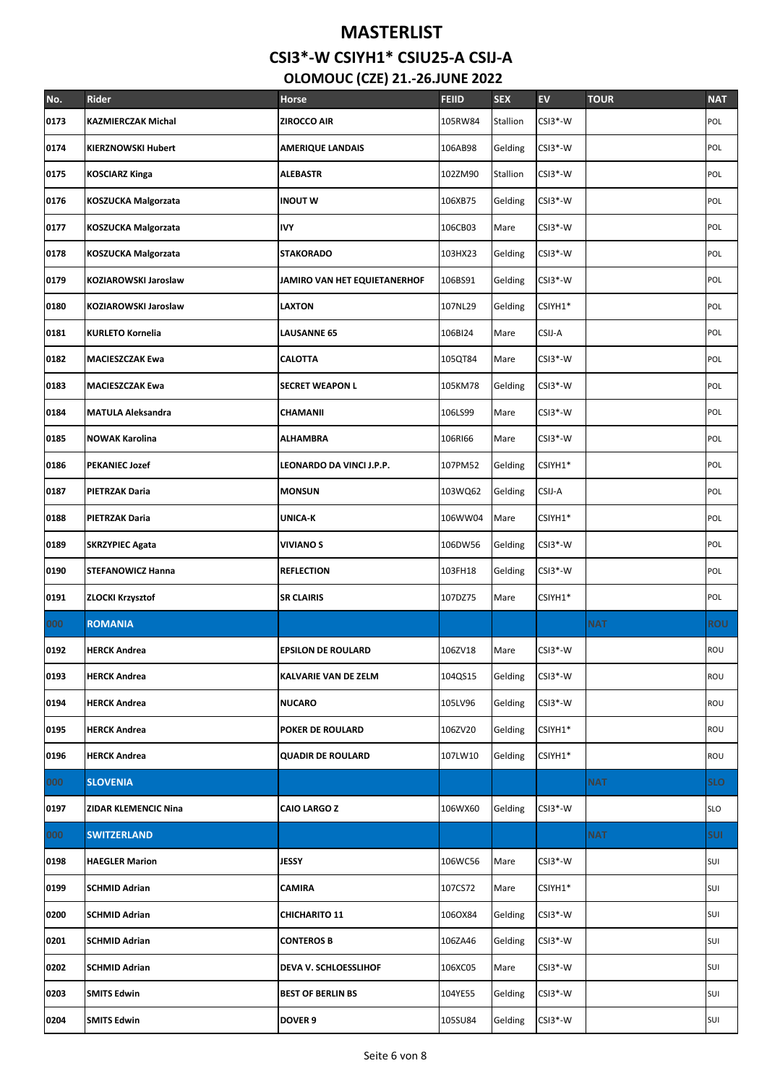| No.  | <b>Rider</b>                | <b>Horse</b>                 | <b>FEIID</b> | <b>SEX</b> | <b>EV</b> | <b>TOUR</b> | <b>NAT</b> |
|------|-----------------------------|------------------------------|--------------|------------|-----------|-------------|------------|
| 0173 | <b>KAZMIERCZAK Michal</b>   | <b>ZIROCCO AIR</b>           | 105RW84      | Stallion   | $CSI3*-W$ |             | POL        |
| 0174 | <b>KIERZNOWSKI Hubert</b>   | <b>AMERIQUE LANDAIS</b>      | 106AB98      | Gelding    | CSI3*-W   |             | POL        |
| 0175 | <b>KOSCIARZ Kinga</b>       | <b>ALEBASTR</b>              | 102ZM90      | Stallion   | $CSI3*-W$ |             | POL        |
| 0176 | <b>KOSZUCKA Malgorzata</b>  | <b>INOUT W</b>               | 106XB75      | Gelding    | CSI3*-W   |             | POL        |
| 0177 | <b>KOSZUCKA Malgorzata</b>  | <b>IVY</b>                   | 106CB03      | Mare       | CSI3*-W   |             | POL        |
| 0178 | <b>KOSZUCKA Malgorzata</b>  | <b>STAKORADO</b>             | 103HX23      | Gelding    | $CSI3*-W$ |             | POL        |
| 0179 | KOZIAROWSKI Jaroslaw        | JAMIRO VAN HET EQUIETANERHOF | 106BS91      | Gelding    | CSI3*-W   |             | POL        |
| 0180 | <b>KOZIAROWSKI Jaroslaw</b> | <b>LAXTON</b>                | 107NL29      | Gelding    | CSIYH1*   |             | POL        |
| 0181 | <b>KURLETO Kornelia</b>     | <b>LAUSANNE 65</b>           | 106BI24      | Mare       | CSIJ-A    |             | POL        |
| 0182 | <b>MACIESZCZAK Ewa</b>      | <b>CALOTTA</b>               | 105QT84      | Mare       | CSI3*-W   |             | POL        |
| 0183 | <b>MACIESZCZAK Ewa</b>      | <b>SECRET WEAPON L</b>       | 105KM78      | Gelding    | CSI3*-W   |             | POL        |
| 0184 | <b>MATULA Aleksandra</b>    | CHAMANII                     | 106LS99      | Mare       | CSI3*-W   |             | POL        |
| 0185 | <b>NOWAK Karolina</b>       | <b>ALHAMBRA</b>              | 106RI66      | Mare       | CSI3*-W   |             | POL        |
| 0186 | <b>PEKANIEC Jozef</b>       | LEONARDO DA VINCI J.P.P.     | 107PM52      | Gelding    | CSIYH1*   |             | POL        |
| 0187 | <b>PIETRZAK Daria</b>       | <b>MONSUN</b>                | 103WQ62      | Gelding    | CSIJ-A    |             | POL        |
| 0188 | <b>PIETRZAK Daria</b>       | <b>UNICA-K</b>               | 106WW04      | Mare       | CSIYH1*   |             | POL        |
| 0189 | <b>SKRZYPIEC Agata</b>      | <b>VIVIANOS</b>              | 106DW56      | Gelding    | CSI3*-W   |             | POL        |
| 0190 | <b>STEFANOWICZ Hanna</b>    | <b>REFLECTION</b>            | 103FH18      | Gelding    | CSI3*-W   |             | POL        |
| 0191 | <b>ZLOCKI Krzysztof</b>     | <b>SR CLAIRIS</b>            | 107DZ75      | Mare       | CSIYH1*   |             | POL        |
| 000  | <b>ROMANIA</b>              |                              |              |            |           | <b>NAT</b>  | <b>ROU</b> |
| 0192 | <b>HERCK Andrea</b>         | <b>EPSILON DE ROULARD</b>    | 106ZV18      | Mare       | CSI3*-W   |             | ROU        |
| 0193 | <b>HERCK Andrea</b>         | <b>KALVARIE VAN DE ZELM</b>  | 104QS15      | Gelding    | $CSI3*-W$ |             | ROU        |
| 0194 | <b>HERCK Andrea</b>         | <b>NUCARO</b>                | 105LV96      | Gelding    | CSI3*-W   |             | ROU        |
| 0195 | <b>HERCK Andrea</b>         | POKER DE ROULARD             | 106ZV20      | Gelding    | CSIYH1*   |             | ROU        |
| 0196 | <b>HERCK Andrea</b>         | <b>QUADIR DE ROULARD</b>     | 107LW10      | Gelding    | CSIYH1*   |             | ROU        |
| 000  | <b>SLOVENIA</b>             |                              |              |            |           | <b>NAT</b>  | <b>SLO</b> |
| 0197 | <b>ZIDAR KLEMENCIC Nina</b> | <b>CAIO LARGO Z</b>          | 106WX60      | Gelding    | CSI3*-W   |             | SLO        |
| 000  | <b>SWITZERLAND</b>          |                              |              |            |           | NAT.        | <b>SUI</b> |
| 0198 | <b>HAEGLER Marion</b>       | JESSY                        | 106WC56      | Mare       | $CSI3*-W$ |             | SUI        |
| 0199 | <b>SCHMID Adrian</b>        | CAMIRA                       | 107CS72      | Mare       | CSIYH1*   |             | SUI        |
| 0200 | <b>SCHMID Adrian</b>        | <b>CHICHARITO 11</b>         | 1060X84      | Gelding    | CSI3*-W   |             | SUI        |
| 0201 | <b>SCHMID Adrian</b>        | <b>CONTEROS B</b>            | 106ZA46      | Gelding    | CSI3*-W   |             | SUI        |
| 0202 | <b>SCHMID Adrian</b>        | DEVA V. SCHLOESSLIHOF        | 106XC05      | Mare       | CSI3*-W   |             | SUI        |
| 0203 | <b>SMITS Edwin</b>          | <b>BEST OF BERLIN BS</b>     | 104YE55      | Gelding    | CSI3*-W   |             | SUI        |
| 0204 | <b>SMITS Edwin</b>          | DOVER 9                      | 105SU84      | Gelding    | CSI3*-W   |             | SUI        |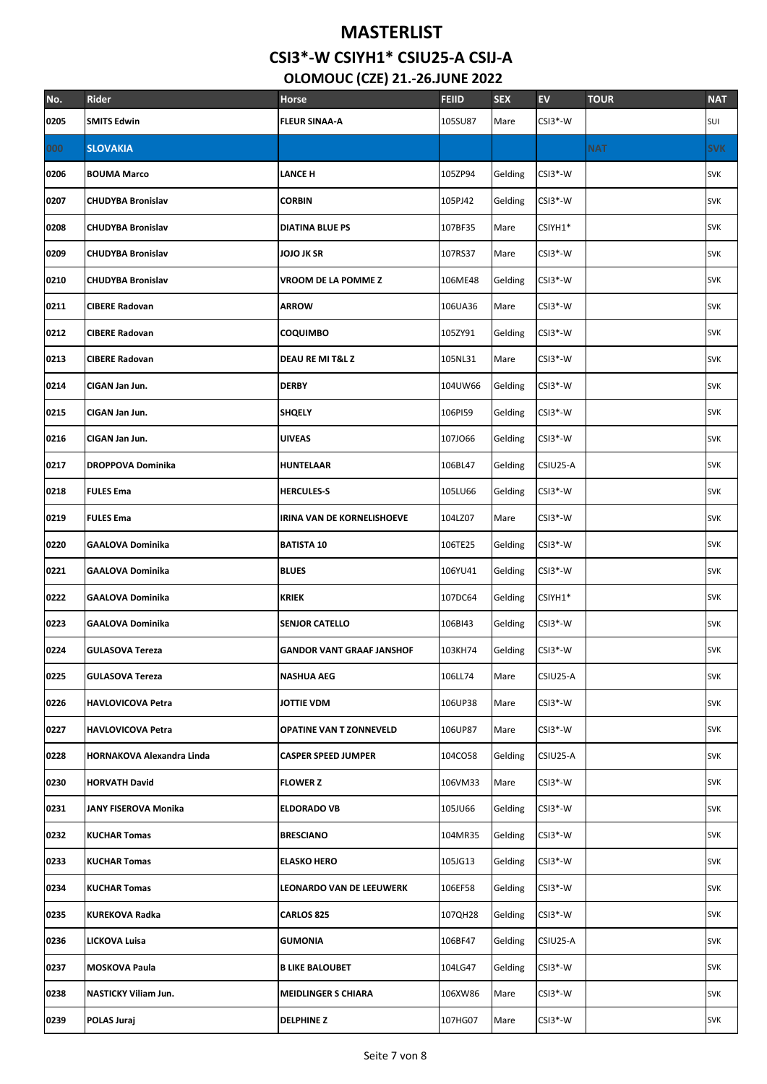| No.  | Rider                            | <b>Horse</b>                     | <b>FEIID</b> | <b>SEX</b> | <b>EV</b> | <b>TOUR</b> | <b>NAT</b> |
|------|----------------------------------|----------------------------------|--------------|------------|-----------|-------------|------------|
| 0205 | <b>SMITS Edwin</b>               | <b>FLEUR SINAA-A</b>             | 105SU87      | Mare       | CSI3*-W   |             | SUI        |
| 000  | <b>SLOVAKIA</b>                  |                                  |              |            |           | <b>NAT</b>  | <b>SVK</b> |
| 0206 | <b>BOUMA Marco</b>               | <b>LANCE H</b>                   | 105ZP94      | Gelding    | CSI3*-W   |             | <b>SVK</b> |
| 0207 | <b>CHUDYBA Bronislav</b>         | <b>CORBIN</b>                    | 105PJ42      | Gelding    | CSI3*-W   |             | <b>SVK</b> |
| 0208 | <b>CHUDYBA Bronislav</b>         | <b>DIATINA BLUE PS</b>           | 107BF35      | Mare       | CSIYH1*   |             | <b>SVK</b> |
| 0209 | <b>CHUDYBA Bronislav</b>         | JOJO JK SR                       | 107RS37      | Mare       | CSI3*-W   |             | <b>SVK</b> |
| 0210 | <b>CHUDYBA Bronislav</b>         | VROOM DE LA POMME Z              | 106ME48      | Gelding    | CSI3*-W   |             | <b>SVK</b> |
| 0211 | <b>CIBERE Radovan</b>            | <b>ARROW</b>                     | 106UA36      | Mare       | CSI3*-W   |             | <b>SVK</b> |
| 0212 | <b>CIBERE Radovan</b>            | <b>COQUIMBO</b>                  | 105ZY91      | Gelding    | $CSI3*-W$ |             | <b>SVK</b> |
| 0213 | <b>CIBERE Radovan</b>            | DEAU RE MI T&L Z                 | 105NL31      | Mare       | CSI3*-W   |             | <b>SVK</b> |
| 0214 | CIGAN Jan Jun.                   | <b>DERBY</b>                     | 104UW66      | Gelding    | CSI3*-W   |             | <b>SVK</b> |
| 0215 | CIGAN Jan Jun.                   | <b>SHQELY</b>                    | 106PI59      | Gelding    | CSI3*-W   |             | <b>SVK</b> |
| 0216 | CIGAN Jan Jun.                   | <b>UIVEAS</b>                    | 107J066      | Gelding    | $CSI3*-W$ |             | <b>SVK</b> |
| 0217 | <b>DROPPOVA Dominika</b>         | <b>HUNTELAAR</b>                 | 106BL47      | Gelding    | CSIU25-A  |             | <b>SVK</b> |
| 0218 | <b>FULES Ema</b>                 | <b>HERCULES-S</b>                | 105LU66      | Gelding    | CSI3*-W   |             | <b>SVK</b> |
| 0219 | <b>FULES Ema</b>                 | IRINA VAN DE KORNELISHOEVE       | 104LZ07      | Mare       | CSI3*-W   |             | <b>SVK</b> |
| 0220 | <b>GAALOVA Dominika</b>          | <b>BATISTA 10</b>                | 106TE25      | Gelding    | CSI3*-W   |             | <b>SVK</b> |
| 0221 | <b>GAALOVA Dominika</b>          | <b>BLUES</b>                     | 106YU41      | Gelding    | CSI3*-W   |             | <b>SVK</b> |
| 0222 | <b>GAALOVA Dominika</b>          | <b>KRIEK</b>                     | 107DC64      | Gelding    | CSIYH1*   |             | <b>SVK</b> |
| 0223 | <b>GAALOVA Dominika</b>          | <b>SENJOR CATELLO</b>            | 106BI43      | Gelding    | $CSI3*-W$ |             | <b>SVK</b> |
| 0224 | <b>GULASOVA Tereza</b>           | <b>GANDOR VANT GRAAF JANSHOF</b> | 103KH74      | Gelding    | $CSI3*-W$ |             | <b>SVK</b> |
| 0225 | <b>GULASOVA Tereza</b>           | <b>NASHUA AEG</b>                | 106LL74      | Mare       | CSIU25-A  |             | <b>SVK</b> |
| 0226 | <b>HAVLOVICOVA Petra</b>         | JOTTIE VDM                       | 106UP38      | Mare       | CSI3*-W   |             | <b>SVK</b> |
| 0227 | <b>HAVLOVICOVA Petra</b>         | OPATINE VAN T ZONNEVELD          | 106UP87      | Mare       | CSI3*-W   |             | <b>SVK</b> |
| 0228 | <b>HORNAKOVA Alexandra Linda</b> | <b>CASPER SPEED JUMPER</b>       | 104CO58      | Gelding    | CSIU25-A  |             | <b>SVK</b> |
| 0230 | <b>HORVATH David</b>             | <b>FLOWER Z</b>                  | 106VM33      | Mare       | CSI3*-W   |             | <b>SVK</b> |
| 0231 | JANY FISEROVA Monika             | <b>ELDORADO VB</b>               | 105JU66      | Gelding    | CSI3*-W   |             | <b>SVK</b> |
| 0232 | <b>KUCHAR Tomas</b>              | <b>BRESCIANO</b>                 | 104MR35      | Gelding    | CSI3*-W   |             | <b>SVK</b> |
| 0233 | <b>KUCHAR Tomas</b>              | <b>ELASKO HERO</b>               | 105JG13      | Gelding    | CSI3*-W   |             | <b>SVK</b> |
| 0234 | <b>KUCHAR Tomas</b>              | <b>LEONARDO VAN DE LEEUWERK</b>  | 106EF58      | Gelding    | CSI3*-W   |             | <b>SVK</b> |
| 0235 | <b>KUREKOVA Radka</b>            | <b>CARLOS 825</b>                | 107QH28      | Gelding    | CSI3*-W   |             | <b>SVK</b> |
| 0236 | LICKOVA Luisa                    | <b>GUMONIA</b>                   | 106BF47      | Gelding    | CSIU25-A  |             | <b>SVK</b> |
| 0237 | <b>MOSKOVA Paula</b>             | <b>B LIKE BALOUBET</b>           | 104LG47      | Gelding    | CSI3*-W   |             | <b>SVK</b> |
| 0238 | <b>NASTICKY Viliam Jun.</b>      | <b>MEIDLINGER S CHIARA</b>       | 106XW86      | Mare       | CSI3*-W   |             | <b>SVK</b> |
| 0239 | POLAS Juraj                      | <b>DELPHINE Z</b>                | 107HG07      | Mare       | CSI3*-W   |             | <b>SVK</b> |